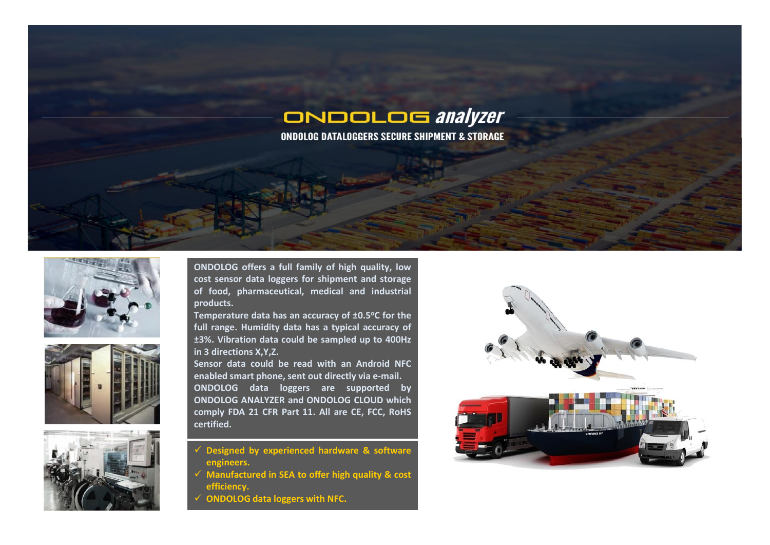

**ONDOLOG DATALOGGERS SECURE SHIPMENT & STORAGE** 







**ONDOLOG offers a full family of high quality, low cost sensor data loggers for shipment and storage of food, pharmaceutical, medical and industrial products.**

**Temperature data has an accuracy of ±0.5oC for the full range. Humidity data has a typical accuracy of ±3%. Vibration data could be sampled up to 400Hz in 3 directions X,Y,Z.**

**Sensor data could be read with an Android NFC enabled smart phone, sent out directly via e-mail. ONDOLOG data loggers are supported by ONDOLOG ANALYZER and ONDOLOG CLOUD which comply FDA 21 CFR Part 11. All are CE, FCC, RoHS certified.**

- **Designed by experienced hardware & software engineers.**
- **Manufactured in SEA to offer high quality & cost efficiency.**
- **ONDOLOG data loggers with NFC.**